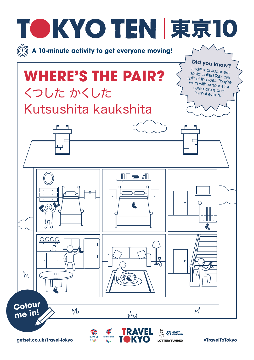